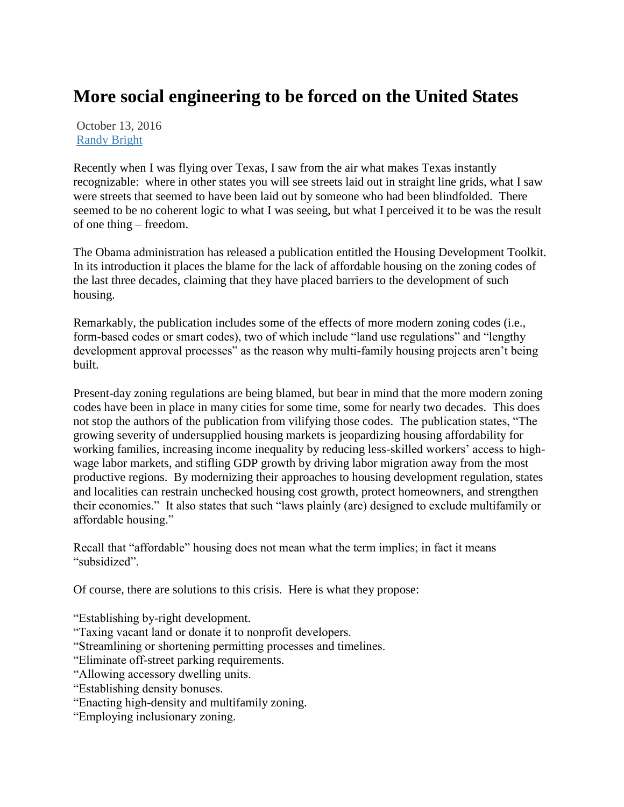## **More social engineering to be forced on the United States**

October 13, 2016 [Randy Bright](http://tulsabeacon.com/author/randy-bright/)

Recently when I was flying over Texas, I saw from the air what makes Texas instantly recognizable: where in other states you will see streets laid out in straight line grids, what I saw were streets that seemed to have been laid out by someone who had been blindfolded. There seemed to be no coherent logic to what I was seeing, but what I perceived it to be was the result of one thing – freedom.

The Obama administration has released a publication entitled the Housing Development Toolkit. In its introduction it places the blame for the lack of affordable housing on the zoning codes of the last three decades, claiming that they have placed barriers to the development of such housing.

Remarkably, the publication includes some of the effects of more modern zoning codes (i.e., form-based codes or smart codes), two of which include "land use regulations" and "lengthy development approval processes" as the reason why multi-family housing projects aren't being built.

Present-day zoning regulations are being blamed, but bear in mind that the more modern zoning codes have been in place in many cities for some time, some for nearly two decades. This does not stop the authors of the publication from vilifying those codes. The publication states, "The growing severity of undersupplied housing markets is jeopardizing housing affordability for working families, increasing income inequality by reducing less-skilled workers' access to highwage labor markets, and stifling GDP growth by driving labor migration away from the most productive regions. By modernizing their approaches to housing development regulation, states and localities can restrain unchecked housing cost growth, protect homeowners, and strengthen their economies." It also states that such "laws plainly (are) designed to exclude multifamily or affordable housing."

Recall that "affordable" housing does not mean what the term implies; in fact it means "subsidized".

Of course, there are solutions to this crisis. Here is what they propose:

"Establishing by-right development.

"Taxing vacant land or donate it to nonprofit developers.

"Streamlining or shortening permitting processes and timelines.

"Eliminate off-street parking requirements.

"Allowing accessory dwelling units.

- "Establishing density bonuses.
- "Enacting high-density and multifamily zoning.

"Employing inclusionary zoning.